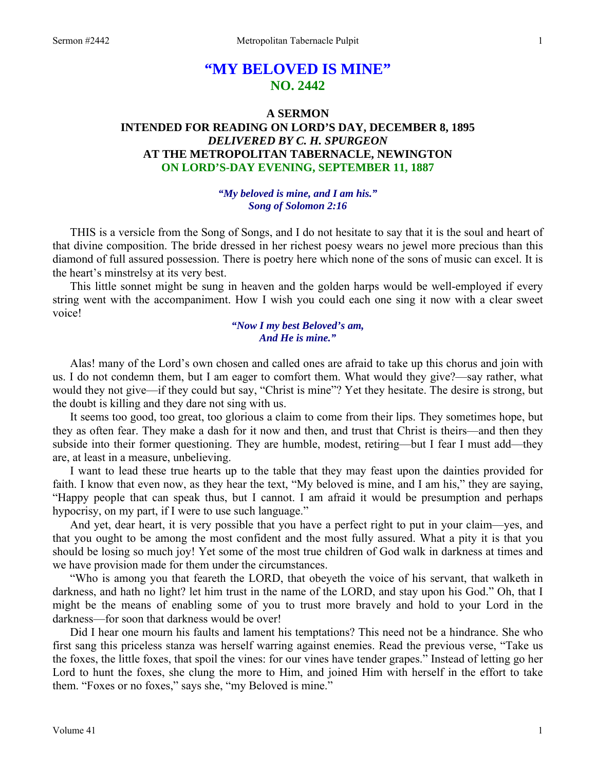# **"MY BELOVED IS MINE" NO. 2442**

# **A SERMON INTENDED FOR READING ON LORD'S DAY, DECEMBER 8, 1895**  *DELIVERED BY C. H. SPURGEON*  **AT THE METROPOLITAN TABERNACLE, NEWINGTON ON LORD'S-DAY EVENING, SEPTEMBER 11, 1887**

## *"My beloved is mine, and I am his." Song of Solomon 2:16*

THIS is a versicle from the Song of Songs, and I do not hesitate to say that it is the soul and heart of that divine composition. The bride dressed in her richest poesy wears no jewel more precious than this diamond of full assured possession. There is poetry here which none of the sons of music can excel. It is the heart's minstrelsy at its very best.

This little sonnet might be sung in heaven and the golden harps would be well-employed if every string went with the accompaniment. How I wish you could each one sing it now with a clear sweet voice!

#### *"Now I my best Beloved's am, And He is mine."*

Alas! many of the Lord's own chosen and called ones are afraid to take up this chorus and join with us. I do not condemn them, but I am eager to comfort them. What would they give?—say rather, what would they not give—if they could but say, "Christ is mine"? Yet they hesitate. The desire is strong, but the doubt is killing and they dare not sing with us.

It seems too good, too great, too glorious a claim to come from their lips. They sometimes hope, but they as often fear. They make a dash for it now and then, and trust that Christ is theirs—and then they subside into their former questioning. They are humble, modest, retiring—but I fear I must add—they are, at least in a measure, unbelieving.

I want to lead these true hearts up to the table that they may feast upon the dainties provided for faith. I know that even now, as they hear the text, "My beloved is mine, and I am his," they are saying, "Happy people that can speak thus, but I cannot. I am afraid it would be presumption and perhaps hypocrisy, on my part, if I were to use such language."

And yet, dear heart, it is very possible that you have a perfect right to put in your claim—yes, and that you ought to be among the most confident and the most fully assured. What a pity it is that you should be losing so much joy! Yet some of the most true children of God walk in darkness at times and we have provision made for them under the circumstances.

"Who is among you that feareth the LORD, that obeyeth the voice of his servant, that walketh in darkness, and hath no light? let him trust in the name of the LORD, and stay upon his God." Oh, that I might be the means of enabling some of you to trust more bravely and hold to your Lord in the darkness—for soon that darkness would be over!

Did I hear one mourn his faults and lament his temptations? This need not be a hindrance. She who first sang this priceless stanza was herself warring against enemies. Read the previous verse, "Take us the foxes, the little foxes, that spoil the vines: for our vines have tender grapes." Instead of letting go her Lord to hunt the foxes, she clung the more to Him, and joined Him with herself in the effort to take them. "Foxes or no foxes," says she, "my Beloved is mine."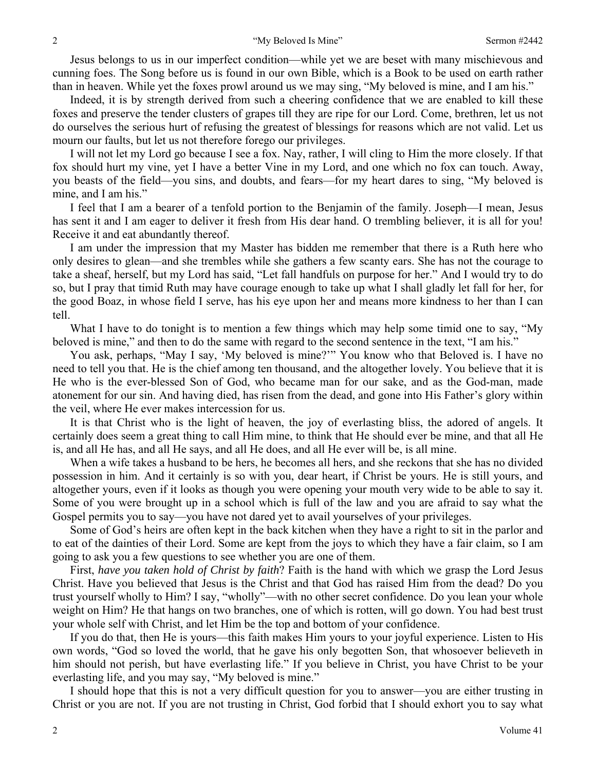Jesus belongs to us in our imperfect condition—while yet we are beset with many mischievous and cunning foes. The Song before us is found in our own Bible, which is a Book to be used on earth rather than in heaven. While yet the foxes prowl around us we may sing, "My beloved is mine, and I am his."

Indeed, it is by strength derived from such a cheering confidence that we are enabled to kill these foxes and preserve the tender clusters of grapes till they are ripe for our Lord. Come, brethren, let us not do ourselves the serious hurt of refusing the greatest of blessings for reasons which are not valid. Let us mourn our faults, but let us not therefore forego our privileges.

I will not let my Lord go because I see a fox. Nay, rather, I will cling to Him the more closely. If that fox should hurt my vine, yet I have a better Vine in my Lord, and one which no fox can touch. Away, you beasts of the field—you sins, and doubts, and fears—for my heart dares to sing, "My beloved is mine, and I am his."

I feel that I am a bearer of a tenfold portion to the Benjamin of the family. Joseph—I mean, Jesus has sent it and I am eager to deliver it fresh from His dear hand. O trembling believer, it is all for you! Receive it and eat abundantly thereof.

I am under the impression that my Master has bidden me remember that there is a Ruth here who only desires to glean—and she trembles while she gathers a few scanty ears. She has not the courage to take a sheaf, herself, but my Lord has said, "Let fall handfuls on purpose for her." And I would try to do so, but I pray that timid Ruth may have courage enough to take up what I shall gladly let fall for her, for the good Boaz, in whose field I serve, has his eye upon her and means more kindness to her than I can tell.

What I have to do tonight is to mention a few things which may help some timid one to say, "My beloved is mine," and then to do the same with regard to the second sentence in the text, "I am his."

You ask, perhaps, "May I say, 'My beloved is mine?'" You know who that Beloved is. I have no need to tell you that. He is the chief among ten thousand, and the altogether lovely. You believe that it is He who is the ever-blessed Son of God, who became man for our sake, and as the God-man, made atonement for our sin. And having died, has risen from the dead, and gone into His Father's glory within the veil, where He ever makes intercession for us.

It is that Christ who is the light of heaven, the joy of everlasting bliss, the adored of angels. It certainly does seem a great thing to call Him mine, to think that He should ever be mine, and that all He is, and all He has, and all He says, and all He does, and all He ever will be, is all mine.

When a wife takes a husband to be hers, he becomes all hers, and she reckons that she has no divided possession in him. And it certainly is so with you, dear heart, if Christ be yours. He is still yours, and altogether yours, even if it looks as though you were opening your mouth very wide to be able to say it. Some of you were brought up in a school which is full of the law and you are afraid to say what the Gospel permits you to say—you have not dared yet to avail yourselves of your privileges.

Some of God's heirs are often kept in the back kitchen when they have a right to sit in the parlor and to eat of the dainties of their Lord. Some are kept from the joys to which they have a fair claim, so I am going to ask you a few questions to see whether you are one of them.

First, *have you taken hold of Christ by faith*? Faith is the hand with which we grasp the Lord Jesus Christ. Have you believed that Jesus is the Christ and that God has raised Him from the dead? Do you trust yourself wholly to Him? I say, "wholly"—with no other secret confidence. Do you lean your whole weight on Him? He that hangs on two branches, one of which is rotten, will go down. You had best trust your whole self with Christ, and let Him be the top and bottom of your confidence.

If you do that, then He is yours—this faith makes Him yours to your joyful experience. Listen to His own words, "God so loved the world, that he gave his only begotten Son, that whosoever believeth in him should not perish, but have everlasting life." If you believe in Christ, you have Christ to be your everlasting life, and you may say, "My beloved is mine."

I should hope that this is not a very difficult question for you to answer—you are either trusting in Christ or you are not. If you are not trusting in Christ, God forbid that I should exhort you to say what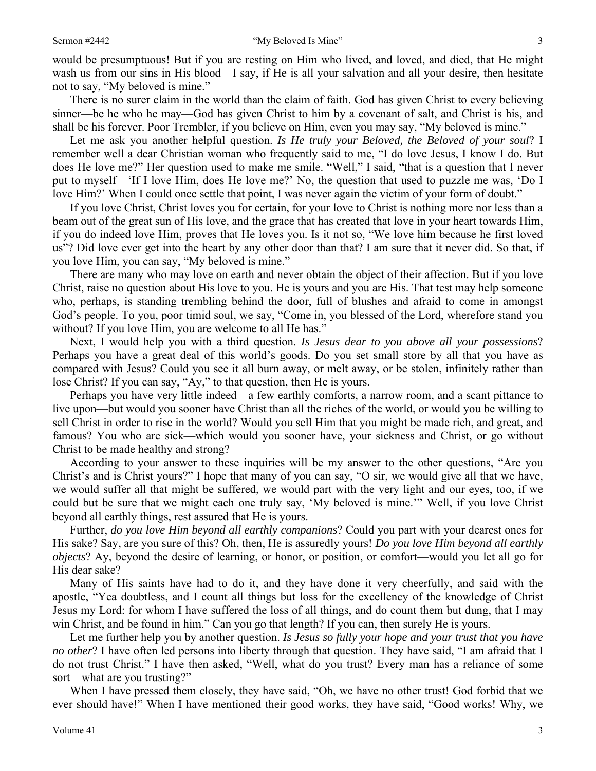would be presumptuous! But if you are resting on Him who lived, and loved, and died, that He might wash us from our sins in His blood—I say, if He is all your salvation and all your desire, then hesitate not to say, "My beloved is mine."

There is no surer claim in the world than the claim of faith. God has given Christ to every believing sinner—be he who he may—God has given Christ to him by a covenant of salt, and Christ is his, and shall be his forever. Poor Trembler, if you believe on Him, even you may say, "My beloved is mine."

Let me ask you another helpful question. *Is He truly your Beloved, the Beloved of your soul*? I remember well a dear Christian woman who frequently said to me, "I do love Jesus, I know I do. But does He love me?" Her question used to make me smile. "Well," I said, "that is a question that I never put to myself—'If I love Him, does He love me?' No, the question that used to puzzle me was, 'Do I love Him?' When I could once settle that point, I was never again the victim of your form of doubt."

If you love Christ, Christ loves you for certain, for your love to Christ is nothing more nor less than a beam out of the great sun of His love, and the grace that has created that love in your heart towards Him, if you do indeed love Him, proves that He loves you. Is it not so, "We love him because he first loved us"? Did love ever get into the heart by any other door than that? I am sure that it never did. So that, if you love Him, you can say, "My beloved is mine."

There are many who may love on earth and never obtain the object of their affection. But if you love Christ, raise no question about His love to you. He is yours and you are His. That test may help someone who, perhaps, is standing trembling behind the door, full of blushes and afraid to come in amongst God's people. To you, poor timid soul, we say, "Come in, you blessed of the Lord, wherefore stand you without? If you love Him, you are welcome to all He has."

Next, I would help you with a third question. *Is Jesus dear to you above all your possessions*? Perhaps you have a great deal of this world's goods. Do you set small store by all that you have as compared with Jesus? Could you see it all burn away, or melt away, or be stolen, infinitely rather than lose Christ? If you can say, "Ay," to that question, then He is yours.

Perhaps you have very little indeed—a few earthly comforts, a narrow room, and a scant pittance to live upon—but would you sooner have Christ than all the riches of the world, or would you be willing to sell Christ in order to rise in the world? Would you sell Him that you might be made rich, and great, and famous? You who are sick—which would you sooner have, your sickness and Christ, or go without Christ to be made healthy and strong?

According to your answer to these inquiries will be my answer to the other questions, "Are you Christ's and is Christ yours?" I hope that many of you can say, "O sir, we would give all that we have, we would suffer all that might be suffered, we would part with the very light and our eyes, too, if we could but be sure that we might each one truly say, 'My beloved is mine.'" Well, if you love Christ beyond all earthly things, rest assured that He is yours.

Further, *do you love Him beyond all earthly companions*? Could you part with your dearest ones for His sake? Say, are you sure of this? Oh, then, He is assuredly yours! *Do you love Him beyond all earthly objects*? Ay, beyond the desire of learning, or honor, or position, or comfort—would you let all go for His dear sake?

Many of His saints have had to do it, and they have done it very cheerfully, and said with the apostle, "Yea doubtless, and I count all things but loss for the excellency of the knowledge of Christ Jesus my Lord: for whom I have suffered the loss of all things, and do count them but dung, that I may win Christ, and be found in him." Can you go that length? If you can, then surely He is yours.

Let me further help you by another question. *Is Jesus so fully your hope and your trust that you have no other*? I have often led persons into liberty through that question. They have said, "I am afraid that I do not trust Christ." I have then asked, "Well, what do you trust? Every man has a reliance of some sort—what are you trusting?"

When I have pressed them closely, they have said, "Oh, we have no other trust! God forbid that we ever should have!" When I have mentioned their good works, they have said, "Good works! Why, we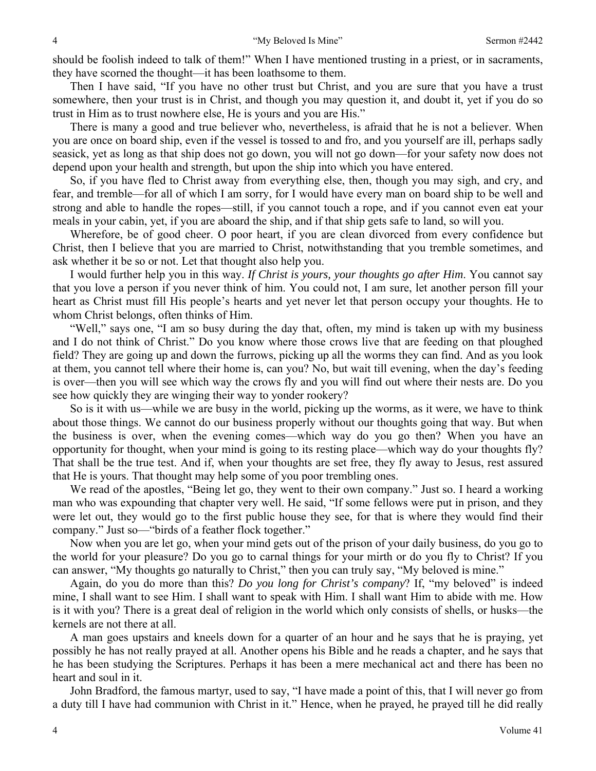should be foolish indeed to talk of them!" When I have mentioned trusting in a priest, or in sacraments, they have scorned the thought—it has been loathsome to them.

Then I have said, "If you have no other trust but Christ, and you are sure that you have a trust somewhere, then your trust is in Christ, and though you may question it, and doubt it, yet if you do so trust in Him as to trust nowhere else, He is yours and you are His."

There is many a good and true believer who, nevertheless, is afraid that he is not a believer. When you are once on board ship, even if the vessel is tossed to and fro, and you yourself are ill, perhaps sadly seasick, yet as long as that ship does not go down, you will not go down—for your safety now does not depend upon your health and strength, but upon the ship into which you have entered.

So, if you have fled to Christ away from everything else, then, though you may sigh, and cry, and fear, and tremble—for all of which I am sorry, for I would have every man on board ship to be well and strong and able to handle the ropes—still, if you cannot touch a rope, and if you cannot even eat your meals in your cabin, yet, if you are aboard the ship, and if that ship gets safe to land, so will you.

Wherefore, be of good cheer. O poor heart, if you are clean divorced from every confidence but Christ, then I believe that you are married to Christ, notwithstanding that you tremble sometimes, and ask whether it be so or not. Let that thought also help you.

I would further help you in this way. *If Christ is yours, your thoughts go after Him*. You cannot say that you love a person if you never think of him. You could not, I am sure, let another person fill your heart as Christ must fill His people's hearts and yet never let that person occupy your thoughts. He to whom Christ belongs, often thinks of Him.

"Well," says one, "I am so busy during the day that, often, my mind is taken up with my business and I do not think of Christ." Do you know where those crows live that are feeding on that ploughed field? They are going up and down the furrows, picking up all the worms they can find. And as you look at them, you cannot tell where their home is, can you? No, but wait till evening, when the day's feeding is over—then you will see which way the crows fly and you will find out where their nests are. Do you see how quickly they are winging their way to yonder rookery?

So is it with us—while we are busy in the world, picking up the worms, as it were, we have to think about those things. We cannot do our business properly without our thoughts going that way. But when the business is over, when the evening comes—which way do you go then? When you have an opportunity for thought, when your mind is going to its resting place—which way do your thoughts fly? That shall be the true test. And if, when your thoughts are set free, they fly away to Jesus, rest assured that He is yours. That thought may help some of you poor trembling ones.

We read of the apostles, "Being let go, they went to their own company." Just so. I heard a working man who was expounding that chapter very well. He said, "If some fellows were put in prison, and they were let out, they would go to the first public house they see, for that is where they would find their company." Just so—"birds of a feather flock together."

Now when you are let go, when your mind gets out of the prison of your daily business, do you go to the world for your pleasure? Do you go to carnal things for your mirth or do you fly to Christ? If you can answer, "My thoughts go naturally to Christ," then you can truly say, "My beloved is mine."

Again, do you do more than this? *Do you long for Christ's company*? If, "my beloved" is indeed mine, I shall want to see Him. I shall want to speak with Him. I shall want Him to abide with me. How is it with you? There is a great deal of religion in the world which only consists of shells, or husks—the kernels are not there at all.

A man goes upstairs and kneels down for a quarter of an hour and he says that he is praying, yet possibly he has not really prayed at all. Another opens his Bible and he reads a chapter, and he says that he has been studying the Scriptures. Perhaps it has been a mere mechanical act and there has been no heart and soul in it.

John Bradford, the famous martyr, used to say, "I have made a point of this, that I will never go from a duty till I have had communion with Christ in it." Hence, when he prayed, he prayed till he did really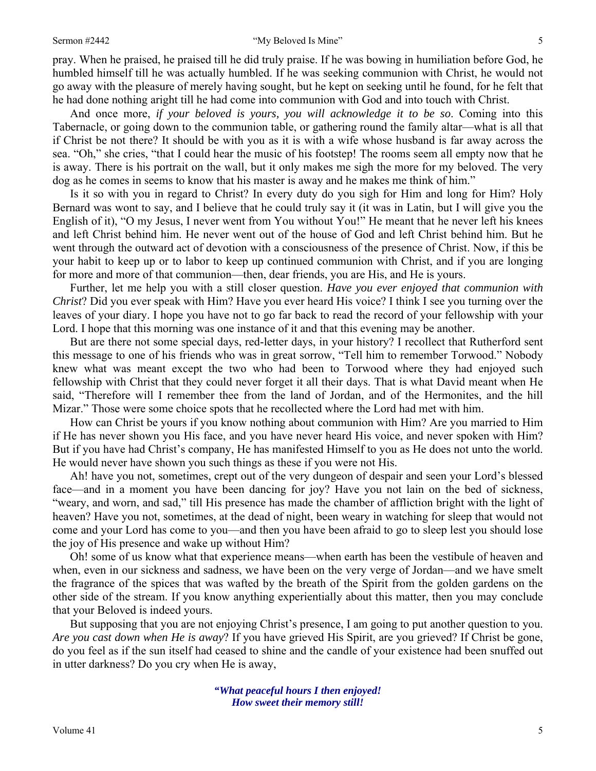#### Sermon #2442 **Sermon #2442 Sermon #2442 S**

pray. When he praised, he praised till he did truly praise. If he was bowing in humiliation before God, he humbled himself till he was actually humbled. If he was seeking communion with Christ, he would not go away with the pleasure of merely having sought, but he kept on seeking until he found, for he felt that he had done nothing aright till he had come into communion with God and into touch with Christ.

And once more, *if your beloved is yours, you will acknowledge it to be so*. Coming into this Tabernacle, or going down to the communion table, or gathering round the family altar—what is all that if Christ be not there? It should be with you as it is with a wife whose husband is far away across the sea. "Oh," she cries, "that I could hear the music of his footstep! The rooms seem all empty now that he is away. There is his portrait on the wall, but it only makes me sigh the more for my beloved. The very dog as he comes in seems to know that his master is away and he makes me think of him."

Is it so with you in regard to Christ? In every duty do you sigh for Him and long for Him? Holy Bernard was wont to say, and I believe that he could truly say it (it was in Latin, but I will give you the English of it), "O my Jesus, I never went from You without You!" He meant that he never left his knees and left Christ behind him. He never went out of the house of God and left Christ behind him. But he went through the outward act of devotion with a consciousness of the presence of Christ. Now, if this be your habit to keep up or to labor to keep up continued communion with Christ, and if you are longing for more and more of that communion—then, dear friends, you are His, and He is yours.

Further, let me help you with a still closer question. *Have you ever enjoyed that communion with Christ*? Did you ever speak with Him? Have you ever heard His voice? I think I see you turning over the leaves of your diary. I hope you have not to go far back to read the record of your fellowship with your Lord. I hope that this morning was one instance of it and that this evening may be another.

But are there not some special days, red-letter days, in your history? I recollect that Rutherford sent this message to one of his friends who was in great sorrow, "Tell him to remember Torwood." Nobody knew what was meant except the two who had been to Torwood where they had enjoyed such fellowship with Christ that they could never forget it all their days. That is what David meant when He said, "Therefore will I remember thee from the land of Jordan, and of the Hermonites, and the hill Mizar." Those were some choice spots that he recollected where the Lord had met with him.

How can Christ be yours if you know nothing about communion with Him? Are you married to Him if He has never shown you His face, and you have never heard His voice, and never spoken with Him? But if you have had Christ's company, He has manifested Himself to you as He does not unto the world. He would never have shown you such things as these if you were not His.

Ah! have you not, sometimes, crept out of the very dungeon of despair and seen your Lord's blessed face—and in a moment you have been dancing for joy? Have you not lain on the bed of sickness, "weary, and worn, and sad," till His presence has made the chamber of affliction bright with the light of heaven? Have you not, sometimes, at the dead of night, been weary in watching for sleep that would not come and your Lord has come to you—and then you have been afraid to go to sleep lest you should lose the joy of His presence and wake up without Him?

Oh! some of us know what that experience means—when earth has been the vestibule of heaven and when, even in our sickness and sadness, we have been on the very verge of Jordan—and we have smelt the fragrance of the spices that was wafted by the breath of the Spirit from the golden gardens on the other side of the stream. If you know anything experientially about this matter, then you may conclude that your Beloved is indeed yours.

But supposing that you are not enjoying Christ's presence, I am going to put another question to you. *Are you cast down when He is away*? If you have grieved His Spirit, are you grieved? If Christ be gone, do you feel as if the sun itself had ceased to shine and the candle of your existence had been snuffed out in utter darkness? Do you cry when He is away,

> *"What peaceful hours I then enjoyed! How sweet their memory still!*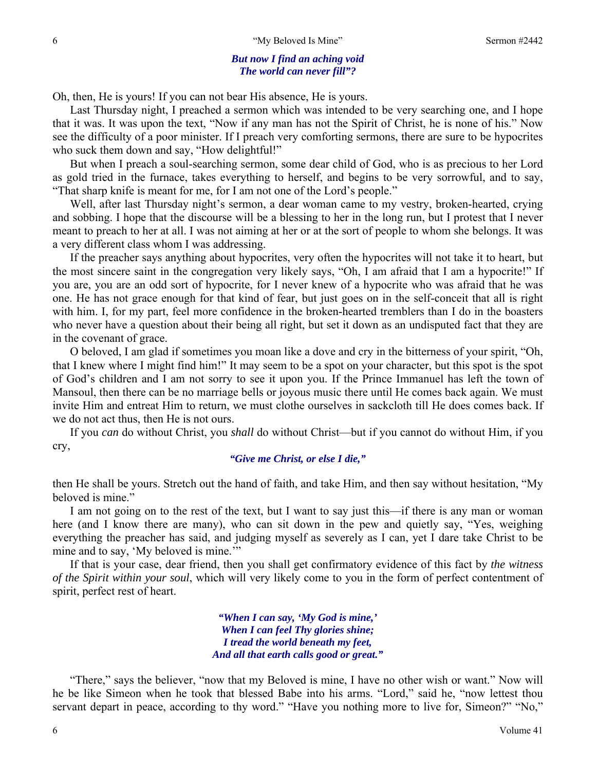#### *But now I find an aching void The world can never fill"?*

Oh, then, He is yours! If you can not bear His absence, He is yours.

Last Thursday night, I preached a sermon which was intended to be very searching one, and I hope that it was. It was upon the text, "Now if any man has not the Spirit of Christ, he is none of his." Now see the difficulty of a poor minister. If I preach very comforting sermons, there are sure to be hypocrites who suck them down and say, "How delightful!"

But when I preach a soul-searching sermon, some dear child of God, who is as precious to her Lord as gold tried in the furnace, takes everything to herself, and begins to be very sorrowful, and to say, "That sharp knife is meant for me, for I am not one of the Lord's people."

Well, after last Thursday night's sermon, a dear woman came to my vestry, broken-hearted, crying and sobbing. I hope that the discourse will be a blessing to her in the long run, but I protest that I never meant to preach to her at all. I was not aiming at her or at the sort of people to whom she belongs. It was a very different class whom I was addressing.

If the preacher says anything about hypocrites, very often the hypocrites will not take it to heart, but the most sincere saint in the congregation very likely says, "Oh, I am afraid that I am a hypocrite!" If you are, you are an odd sort of hypocrite, for I never knew of a hypocrite who was afraid that he was one. He has not grace enough for that kind of fear, but just goes on in the self-conceit that all is right with him. I, for my part, feel more confidence in the broken-hearted tremblers than I do in the boasters who never have a question about their being all right, but set it down as an undisputed fact that they are in the covenant of grace.

O beloved, I am glad if sometimes you moan like a dove and cry in the bitterness of your spirit, "Oh, that I knew where I might find him!" It may seem to be a spot on your character, but this spot is the spot of God's children and I am not sorry to see it upon you. If the Prince Immanuel has left the town of Mansoul, then there can be no marriage bells or joyous music there until He comes back again. We must invite Him and entreat Him to return, we must clothe ourselves in sackcloth till He does comes back. If we do not act thus, then He is not ours.

If you *can* do without Christ, you *shall* do without Christ—but if you cannot do without Him, if you cry,

#### *"Give me Christ, or else I die,"*

then He shall be yours. Stretch out the hand of faith, and take Him, and then say without hesitation, "My beloved is mine."

I am not going on to the rest of the text, but I want to say just this—if there is any man or woman here (and I know there are many), who can sit down in the pew and quietly say, "Yes, weighing everything the preacher has said, and judging myself as severely as I can, yet I dare take Christ to be mine and to say, 'My beloved is mine.'"

If that is your case, dear friend, then you shall get confirmatory evidence of this fact by *the witness of the Spirit within your soul*, which will very likely come to you in the form of perfect contentment of spirit, perfect rest of heart.

> *"When I can say, 'My God is mine,' When I can feel Thy glories shine; I tread the world beneath my feet, And all that earth calls good or great."*

"There," says the believer, "now that my Beloved is mine, I have no other wish or want." Now will he be like Simeon when he took that blessed Babe into his arms. "Lord," said he, "now lettest thou servant depart in peace, according to thy word." "Have you nothing more to live for, Simeon?" "No,"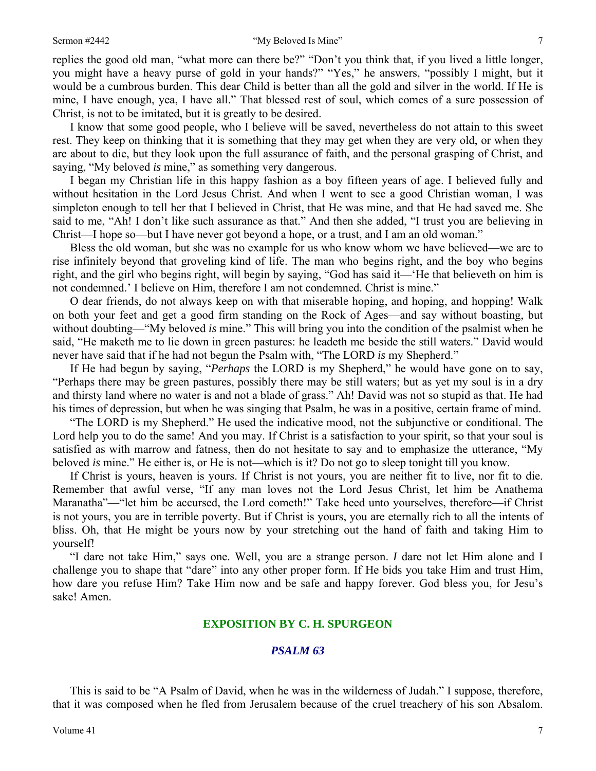replies the good old man, "what more can there be?" "Don't you think that, if you lived a little longer, you might have a heavy purse of gold in your hands?" "Yes," he answers, "possibly I might, but it would be a cumbrous burden. This dear Child is better than all the gold and silver in the world. If He is mine, I have enough, yea, I have all." That blessed rest of soul, which comes of a sure possession of Christ, is not to be imitated, but it is greatly to be desired.

I know that some good people, who I believe will be saved, nevertheless do not attain to this sweet rest. They keep on thinking that it is something that they may get when they are very old, or when they are about to die, but they look upon the full assurance of faith, and the personal grasping of Christ, and saying, "My beloved *is* mine," as something very dangerous.

I began my Christian life in this happy fashion as a boy fifteen years of age. I believed fully and without hesitation in the Lord Jesus Christ. And when I went to see a good Christian woman, I was simpleton enough to tell her that I believed in Christ, that He was mine, and that He had saved me. She said to me, "Ah! I don't like such assurance as that." And then she added, "I trust you are believing in Christ—I hope so—but I have never got beyond a hope, or a trust, and I am an old woman."

Bless the old woman, but she was no example for us who know whom we have believed—we are to rise infinitely beyond that groveling kind of life. The man who begins right, and the boy who begins right, and the girl who begins right, will begin by saying, "God has said it—'He that believeth on him is not condemned.' I believe on Him, therefore I am not condemned. Christ is mine."

O dear friends, do not always keep on with that miserable hoping, and hoping, and hopping! Walk on both your feet and get a good firm standing on the Rock of Ages—and say without boasting, but without doubting—"My beloved *is* mine." This will bring you into the condition of the psalmist when he said, "He maketh me to lie down in green pastures: he leadeth me beside the still waters." David would never have said that if he had not begun the Psalm with, "The LORD *is* my Shepherd."

If He had begun by saying, "*Perhaps* the LORD is my Shepherd," he would have gone on to say, "Perhaps there may be green pastures, possibly there may be still waters; but as yet my soul is in a dry and thirsty land where no water is and not a blade of grass." Ah! David was not so stupid as that. He had his times of depression, but when he was singing that Psalm, he was in a positive, certain frame of mind.

"The LORD is my Shepherd." He used the indicative mood, not the subjunctive or conditional. The Lord help you to do the same! And you may. If Christ is a satisfaction to your spirit, so that your soul is satisfied as with marrow and fatness, then do not hesitate to say and to emphasize the utterance, "My beloved *is* mine." He either is, or He is not—which is it? Do not go to sleep tonight till you know.

If Christ is yours, heaven is yours. If Christ is not yours, you are neither fit to live, nor fit to die. Remember that awful verse, "If any man loves not the Lord Jesus Christ, let him be Anathema Maranatha"—"let him be accursed, the Lord cometh!" Take heed unto yourselves, therefore—if Christ is not yours, you are in terrible poverty. But if Christ is yours, you are eternally rich to all the intents of bliss. Oh, that He might be yours now by your stretching out the hand of faith and taking Him to yourself!

"I dare not take Him," says one. Well, you are a strange person. *I* dare not let Him alone and I challenge you to shape that "dare" into any other proper form. If He bids you take Him and trust Him, how dare you refuse Him? Take Him now and be safe and happy forever. God bless you, for Jesu's sake! Amen.

### **EXPOSITION BY C. H. SPURGEON**

#### *PSALM 63*

This is said to be "A Psalm of David, when he was in the wilderness of Judah." I suppose, therefore, that it was composed when he fled from Jerusalem because of the cruel treachery of his son Absalom.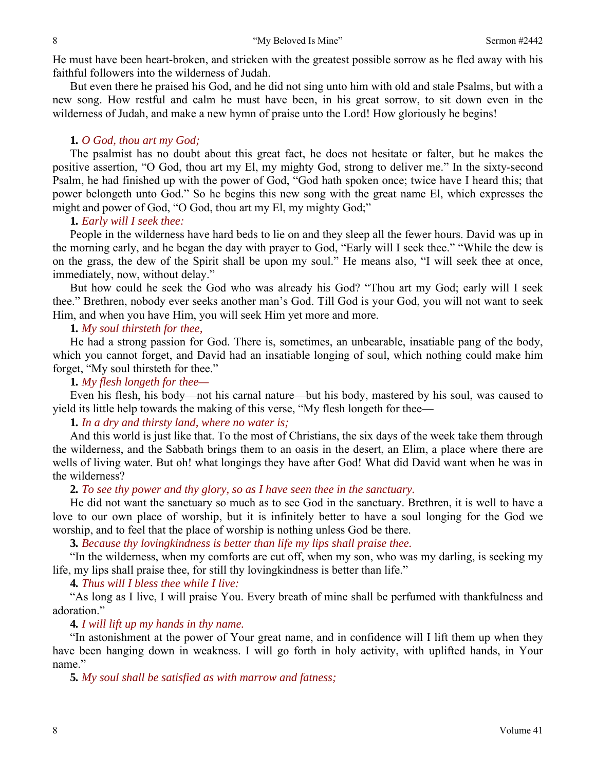He must have been heart-broken, and stricken with the greatest possible sorrow as he fled away with his faithful followers into the wilderness of Judah.

But even there he praised his God, and he did not sing unto him with old and stale Psalms, but with a new song. How restful and calm he must have been, in his great sorrow, to sit down even in the wilderness of Judah, and make a new hymn of praise unto the Lord! How gloriously he begins!

# **1***. O God, thou art my God;*

The psalmist has no doubt about this great fact, he does not hesitate or falter, but he makes the positive assertion, "O God, thou art my El, my mighty God, strong to deliver me." In the sixty-second Psalm, he had finished up with the power of God, "God hath spoken once; twice have I heard this; that power belongeth unto God." So he begins this new song with the great name El, which expresses the might and power of God, "O God, thou art my El, my mighty God;"

# **1***. Early will I seek thee:*

People in the wilderness have hard beds to lie on and they sleep all the fewer hours. David was up in the morning early, and he began the day with prayer to God, "Early will I seek thee." "While the dew is on the grass, the dew of the Spirit shall be upon my soul." He means also, "I will seek thee at once, immediately, now, without delay."

But how could he seek the God who was already his God? "Thou art my God; early will I seek thee." Brethren, nobody ever seeks another man's God. Till God is your God, you will not want to seek Him, and when you have Him, you will seek Him yet more and more.

# **1***. My soul thirsteth for thee,*

He had a strong passion for God. There is, sometimes, an unbearable, insatiable pang of the body, which you cannot forget, and David had an insatiable longing of soul, which nothing could make him forget, "My soul thirsteth for thee."

**1***. My flesh longeth for thee—*

Even his flesh, his body—not his carnal nature—but his body, mastered by his soul, was caused to yield its little help towards the making of this verse, "My flesh longeth for thee—

**1***. In a dry and thirsty land, where no water is;*

And this world is just like that. To the most of Christians, the six days of the week take them through the wilderness, and the Sabbath brings them to an oasis in the desert, an Elim, a place where there are wells of living water. But oh! what longings they have after God! What did David want when he was in the wilderness?

**2***. To see thy power and thy glory, so as I have seen thee in the sanctuary.*

He did not want the sanctuary so much as to see God in the sanctuary. Brethren, it is well to have a love to our own place of worship, but it is infinitely better to have a soul longing for the God we worship, and to feel that the place of worship is nothing unless God be there.

**3***. Because thy lovingkindness is better than life my lips shall praise thee.*

"In the wilderness, when my comforts are cut off, when my son, who was my darling, is seeking my life, my lips shall praise thee, for still thy lovingkindness is better than life."

**4***. Thus will I bless thee while I live:*

"As long as I live, I will praise You. Every breath of mine shall be perfumed with thankfulness and adoration."

# **4***. I will lift up my hands in thy name.*

"In astonishment at the power of Your great name, and in confidence will I lift them up when they have been hanging down in weakness. I will go forth in holy activity, with uplifted hands, in Your name."

**5***. My soul shall be satisfied as with marrow and fatness;*